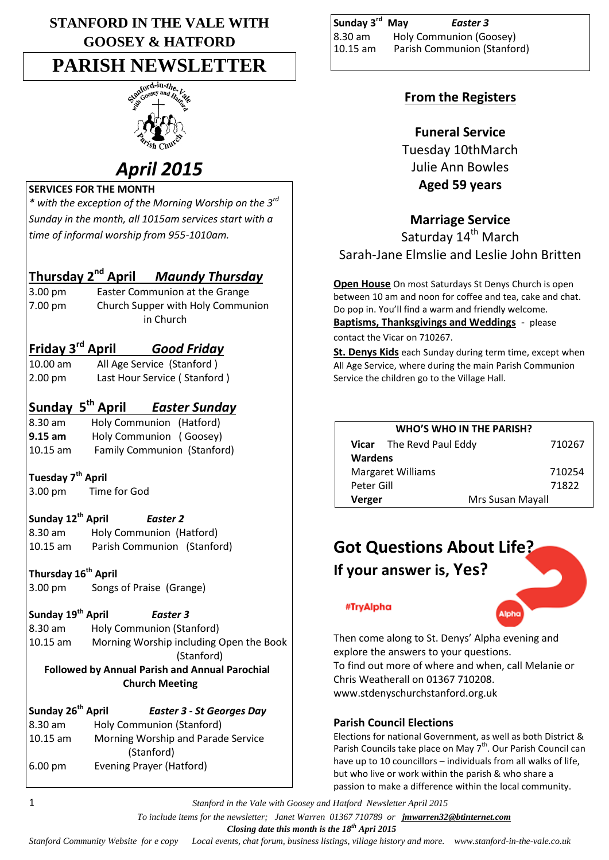# **STANFORD IN THE VALE WITH GOOSEY & HATFORD**

# **PARISH NEWSLETTER**



# *April 2015*

### **SERVICES FOR THE MONTH**

*\* with the exception of the Morning Worship on the 3rd Sunday in the month, all 1015am services start with a time of informal worship from 955-1010am.*

# **Thursday 2nd April** *Maundy Thursday*

3.00 pm Easter Communion at the Grange 7.00 pm Church Supper with Holy Communion in Church

# **Friday 3rd April** *Good Friday*

10.00 am All Age Service (Stanford ) 2.00 pm Last Hour Service ( Stanford )

# **Sunday 5th April** *Easter Sunday*

8.30 am Holy Communion (Hatford) **9.15 am** Holy Communion ( Goosey) 10.15 am Family Communion (Stanford)

## **Tuesday 7th April**

3.00 pm Time for God

## **Sunday 12th April** *Easter 2*

8.30 am Holy Communion (Hatford) 10.15 am Parish Communion (Stanford)

**Thursday 16th April** 3.00 pm Songs of Praise (Grange)

**Sunday 19th April** *Easter 3*

8.30 am Holy Communion (Stanford) 10.15 am Morning Worship including Open the Book (Stanford)  **Followed by Annual Parish and Annual Parochial Church Meeting**

| Sunday 26 <sup>th</sup> April | <b>Easter 3 - St Georges Day</b>   |
|-------------------------------|------------------------------------|
| 8.30 am                       | Holy Communion (Stanford)          |
| 10.15 am                      | Morning Worship and Parade Service |
|                               | (Stanford)                         |
| 6.00 pm                       | Evening Prayer (Hatford)           |

| Sunday 3 <sup>rd</sup> May | Easter 3                    |
|----------------------------|-----------------------------|
| 8.30 am                    | Holy Communion (Goosey)     |
| $10.15$ am                 | Parish Communion (Stanford) |

# **From the Registers**

# **Funeral Service**

Tuesday 10thMarch Julie Ann Bowles **Aged 59 years**

# **Marriage Service**

Saturday 14<sup>th</sup> March Sarah-Jane Elmslie and Leslie John Britten

**Open House** On most Saturdays St Denys Church is open between 10 am and noon for coffee and tea, cake and chat. Do pop in. You'll find a warm and friendly welcome.

**Baptisms, Thanksgivings and Weddings** - please contact the Vicar on 710267.

**St. Denys Kids** each Sunday during term time, except when All Age Service, where during the main Parish Communion Service the children go to the Village Hall.

| <b>WHO'S WHO IN THE PARISH?</b> |                                 |        |  |  |  |
|---------------------------------|---------------------------------|--------|--|--|--|
|                                 | <b>Vicar</b> The Revd Paul Eddy | 710267 |  |  |  |
| <b>Wardens</b>                  |                                 |        |  |  |  |
| <b>Margaret Williams</b>        | 710254                          |        |  |  |  |
| Peter Gill                      |                                 | 71822  |  |  |  |
| Verger                          | Mrs Susan Mayall                |        |  |  |  |

# **Got Questions About Life? If your answer is, Yes?**



#TryAlpha

Then come along to St. Denys' Alpha evening and explore the answers to your questions. To find out more of where and when, call Melanie or Chris Weatherall on 01367 710208. www.stdenyschurchstanford.org.uk

## **Parish Council Elections**

Elections for national Government, as well as both District & Parish Councils take place on May 7<sup>th</sup>. Our Parish Council can have up to 10 councillors – individuals from all walks of life, but who live or work within the parish & who share a passion to make a difference within the local community.

1 *Stanford in the Vale with Goosey and Hatford Newsletter April 2015*

 *To include items for the newsletter; Janet Warren 01367 710789 or jmwarren32@btinternet.com*

 *Closing date this month is the 18th Apri 2015*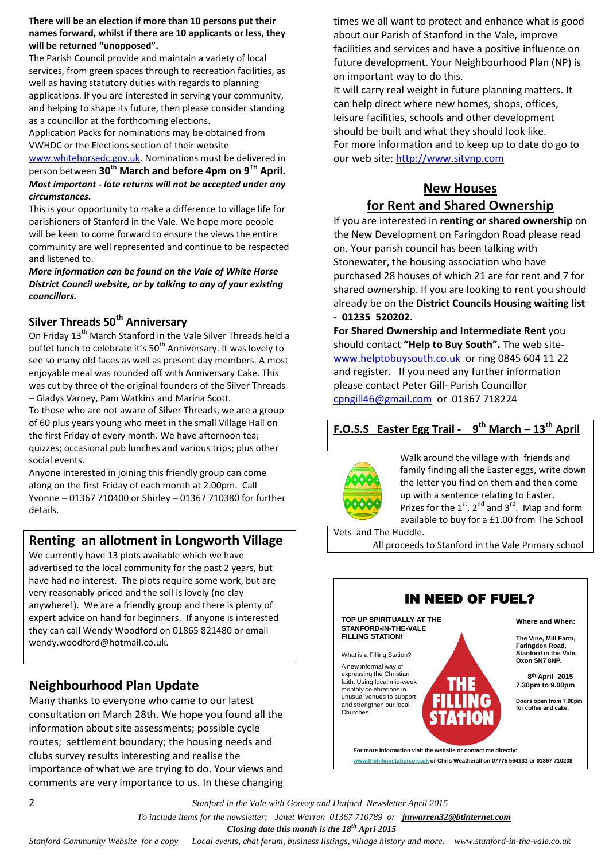#### **There will be an election if more than 10 persons put their names forward, whilst if there are 10 applicants or less, they will be returned "unopposed".**

The Parish Council provide and maintain a variety of local services, from green spaces through to recreation facilities, as well as having statutory duties with regards to planning applications. If you are interested in serving your community, and helping to shape its future, then please consider standing as a councillor at the forthcoming elections.

Application Packs for nominations may be obtained from VWHDC or the Elections section of their website

[www.whitehorsedc.gov.uk.](http://www.whitehorsedc.gov.uk/) Nominations must be delivered in person between **30th March and before 4pm on 9TH April.** *Most important - late returns will not be accepted under any circumstances.*

This is your opportunity to make a difference to village life for parishioners of Stanford in the Vale. We hope more people will be keen to come forward to ensure the views the entire community are well represented and continue to be respected and listened to.

*More information can be found on the Vale of White Horse District Council website, or by talking to any of your existing councillors.*

# **Silver Threads 50th Anniversary**

On Friday 13<sup>th</sup> March Stanford in the Vale Silver Threads held a buffet lunch to celebrate it's 50<sup>th</sup> Anniversary. It was lovely to see so many old faces as well as present day members. A most enjoyable meal was rounded off with Anniversary Cake. This was cut by three of the original founders of the Silver Threads – Gladys Varney, Pam Watkins and Marina Scott.

To those who are not aware of Silver Threads, we are a group of 60 plus years young who meet in the small Village Hall on the first Friday of every month. We have afternoon tea; quizzes; occasional pub lunches and various trips; plus other social events.

Anyone interested in joining this friendly group can come along on the first Friday of each month at 2.00pm. Call Yvonne – 01367 710400 or Shirley – 01367 710380 for further details.

# **Renting an allotment in Longworth Village**

We currently have 13 plots available which we have advertised to the local community for the past 2 years, but have had no interest. The plots require some work, but are very reasonably priced and the soil is lovely (no clay anywhere!). We are a friendly group and there is plenty of expert advice on hand for beginners. If anyone is interested they can call Wendy Woodford on 01865 821480 or email wendy.woodford@hotmail.co.uk.

# **Neighbourhood Plan Update**

Many thanks to everyone who came to our latest consultation on March 28th. We hope you found all the information about site assessments; possible cycle routes; settlement boundary; the housing needs and clubs survey results interesting and realise the importance of what we are trying to do. Your views and comments are very importance to us. In these changing times we all want to protect and enhance what is good about our Parish of Stanford in the Vale, improve facilities and services and have a positive influence on future development. Your Neighbourhood Plan (NP) is an important way to do this.

It will carry real weight in future planning matters. It can help direct where new homes, shops, offices, leisure facilities, schools and other development should be built and what they should look like. For more information and to keep up to date do go to our web site: [http://www.sitvnp.com](http://www.sitvnp.com/)

# **New Houses**

# **for Rent and Shared Ownership**

If you are interested in **renting or shared ownership** on the New Development on Faringdon Road please read on. Your parish council has been talking with Stonewater, the housing association who have purchased 28 houses of which 21 are for rent and 7 for shared ownership. If you are looking to rent you should already be on the **District Councils Housing waiting list - 01235 520202.**

**For Shared Ownership and Intermediate Rent** you should contact **"Help to Buy South".** The web site[www.helptobuysouth.co.uk](http://www.helptobuysouth.co.uk/) or ring 0845 604 11 22 and register. If you need any further information please contact Peter Gill- Parish Councillor [cpngill46@gmail.com](mailto:cpngill46@gmail.com) or 01367 718224

#### **F.O.S.S Easter Egg Trail - 9 th March – 13th April**



Walk around the village with friends and family finding all the Easter eggs, write down the letter you find on them and then come up with a sentence relating to Easter. Prizes for the  $1^{st}$ ,  $2^{nd}$  and  $3^{rd}$ . Map and form available to buy for a £1.00 from The School

Vets and The Huddle.

All proceeds to Stanford in the Vale Primary school



2 *Stanford in the Vale with Goosey and Hatford Newsletter April 2015*

 *To include items for the newsletter; Janet Warren 01367 710789 or jmwarren32@btinternet.com*

 *Closing date this month is the 18th Apri 2015*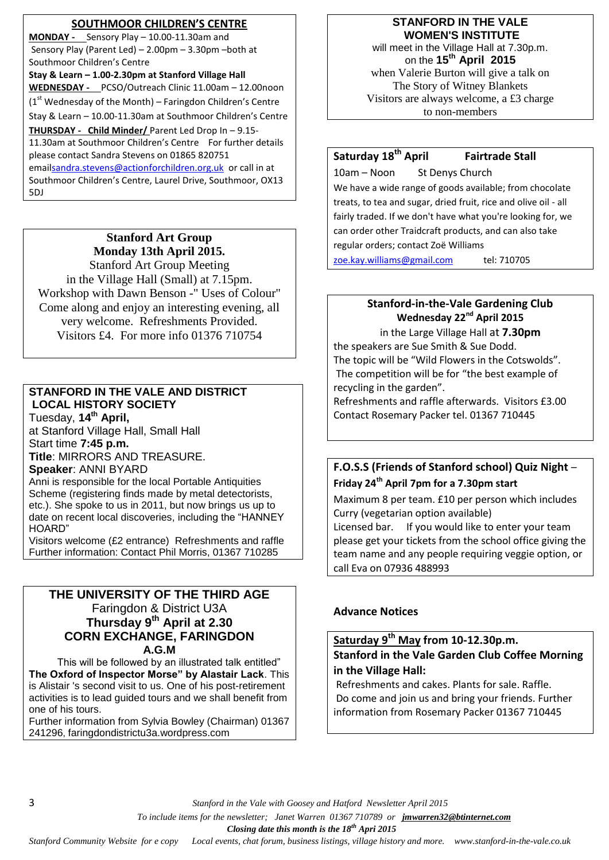#### **SOUTHMOOR CHILDREN'S CENTRE**

**MONDAY -** Sensory Play – 10.00-11.30am and Sensory Play (Parent Led) – 2.00pm – 3.30pm –both at Southmoor Children's Centre **Stay & Learn – 1.00-2.30pm at Stanford Village Hall WEDNESDAY -** PCSO/Outreach Clinic 11.00am – 12.00noon  $(1<sup>st</sup> Wednesday of the Month) - Faringdon Children's Centre$ Stay & Learn – 10.00-11.30am at Southmoor Children's Centre **THURSDAY - Child Minder/** Parent Led Drop In – 9.15- 11.30am at Southmoor Children's Centre For further details please contact Sandra Stevens on 01865 820751 ema[ilsandra.stevens@actionforchildren.org.uk](mailto:sandra.stevens@actionforchildren.org.uk) or call in at Southmoor Children's Centre, Laurel Drive, Southmoor, OX13 5DJ

# **Stanford Art Group Monday 13th April 2015.**

Stanford Art Group Meeting in the Village Hall (Small) at 7.15pm. Workshop with Dawn Benson -" Uses of Colour" Come along and enjoy an interesting evening, all very welcome. Refreshments Provided. Visitors £4. For more info 01376 710754

#### **STANFORD IN THE VALE AND DISTRICT LOCAL HISTORY SOCIETY**

Tuesday, **14th April,** at Stanford Village Hall, Small Hall Start time **7:45 p.m.**

**Title**: MIRRORS AND TREASURE.

### **Speaker**: ANNI BYARD

Anni is responsible for the local Portable Antiquities Scheme (registering finds made by metal detectorists, etc.). She spoke to us in 2011, but now brings us up to date on recent local discoveries, including the "HANNEY HOARD"

Visitors welcome (£2 entrance) Refreshments and raffle Further information: Contact Phil Morris, 01367 710285

#### **THE UNIVERSITY OF THE THIRD AGE** Faringdon & District U3A **Thursday 9 th April at 2.30 CORN EXCHANGE, FARINGDON A.G.M**

 This will be followed by an illustrated talk entitled" **The Oxford of Inspector Morse" by Alastair Lack**. This is Alistair 's second visit to us. One of his post-retirement activities is to lead guided tours and we shall benefit from one of his tours.

Further information from Sylvia Bowley (Chairman) 01367 241296, faringdondistrictu3a.wordpress.com

### **STANFORD IN THE VALE WOMEN'S INSTITUTE**

will meet in the Village Hall at 7.30p.m. on the **15th April 2015** when Valerie Burton will give a talk on The Story of Witney Blankets Visitors are always welcome, a £3 charge to non-members

# **Saturday 18th April Fairtrade Stall**

10am – Noon St Denys Church We have a wide range of goods available; from chocolate treats, to tea and sugar, dried fruit, rice and olive oil - all fairly traded. If we don't have what you're looking for, we can order other Traidcraft products, and can also take regular orders; contact Zoë Williams

[zoe.kay.williams@gmail.com](mailto:zoe.kay.williams@gmail.com) tel: 710705

# **Stanford-in-the-Vale Gardening Club Wednesday 22<sup>nd</sup> April 2015**

in the Large Village Hall at **7.30pm** the speakers are Sue Smith & Sue Dodd. The topic will be "Wild Flowers in the Cotswolds". The competition will be for "the best example of recycling in the garden".

Refreshments and raffle afterwards. Visitors £3.00 Contact Rosemary Packer tel. 01367 710445

## **F.O.S.S (Friends of Stanford school) Quiz Night** – **Friday 24th April 7pm for a 7.30pm start**

Maximum 8 per team. £10 per person which includes Curry (vegetarian option available) Licensed bar. If you would like to enter your team please get your tickets from the school office giving the team name and any people requiring veggie option, or call Eva on 07936 488993

### **Advance Notices**

### **Saturday 9th May from 10-12.30p.m. Stanford in the Vale Garden Club Coffee Morning in the Village Hall:**

Refreshments and cakes. Plants for sale. Raffle. Do come and join us and bring your friends. Further information from Rosemary Packer 01367 710445

3 *Stanford in the Vale with Goosey and Hatford Newsletter April 2015*

 *To include items for the newsletter; Janet Warren 01367 710789 or jmwarren32@btinternet.com*

 *Closing date this month is the 18th Apri 2015*